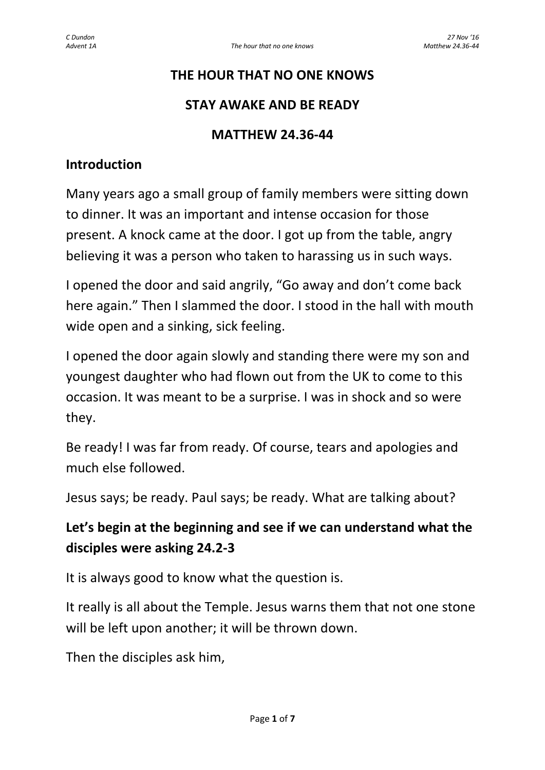### **THE HOUR THAT NO ONE KNOWS**

### **STAY AWAKE AND BE READY**

#### **MATTHEW 24.36-44**

#### **Introduction**

Many years ago a small group of family members were sitting down to dinner. It was an important and intense occasion for those present. A knock came at the door. I got up from the table, angry believing it was a person who taken to harassing us in such ways.

I opened the door and said angrily, "Go away and don't come back here again." Then I slammed the door. I stood in the hall with mouth wide open and a sinking, sick feeling.

I opened the door again slowly and standing there were my son and youngest daughter who had flown out from the UK to come to this occasion. It was meant to be a surprise. I was in shock and so were they.

Be ready! I was far from ready. Of course, tears and apologies and much else followed.

Jesus says; be ready. Paul says; be ready. What are talking about?

## **Let's begin at the beginning and see if we can understand what the disciples were asking 24.2-3**

It is always good to know what the question is.

It really is all about the Temple. Jesus warns them that not one stone will be left upon another; it will be thrown down.

Then the disciples ask him,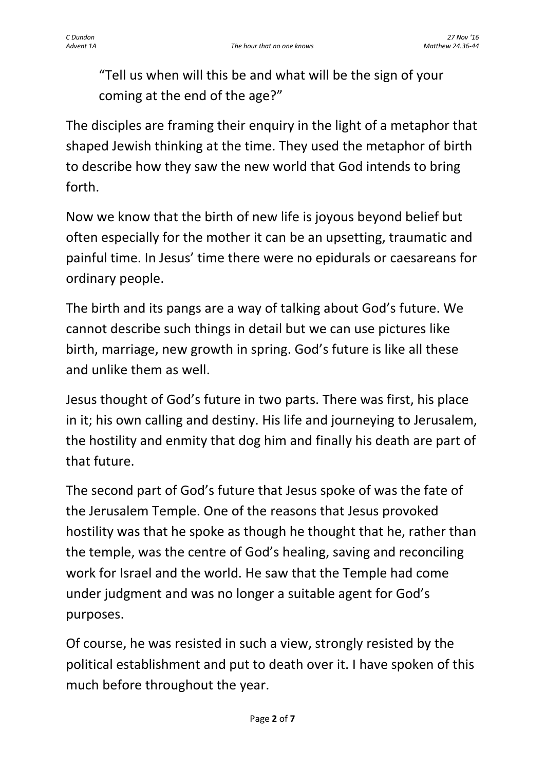"Tell us when will this be and what will be the sign of your coming at the end of the age?"

The disciples are framing their enquiry in the light of a metaphor that shaped Jewish thinking at the time. They used the metaphor of birth to describe how they saw the new world that God intends to bring forth.

Now we know that the birth of new life is joyous beyond belief but often especially for the mother it can be an upsetting, traumatic and painful time. In Jesus' time there were no epidurals or caesareans for ordinary people.

The birth and its pangs are a way of talking about God's future. We cannot describe such things in detail but we can use pictures like birth, marriage, new growth in spring. God's future is like all these and unlike them as well.

Jesus thought of God's future in two parts. There was first, his place in it; his own calling and destiny. His life and journeying to Jerusalem, the hostility and enmity that dog him and finally his death are part of that future.

The second part of God's future that Jesus spoke of was the fate of the Jerusalem Temple. One of the reasons that Jesus provoked hostility was that he spoke as though he thought that he, rather than the temple, was the centre of God's healing, saving and reconciling work for Israel and the world. He saw that the Temple had come under judgment and was no longer a suitable agent for God's purposes.

Of course, he was resisted in such a view, strongly resisted by the political establishment and put to death over it. I have spoken of this much before throughout the year.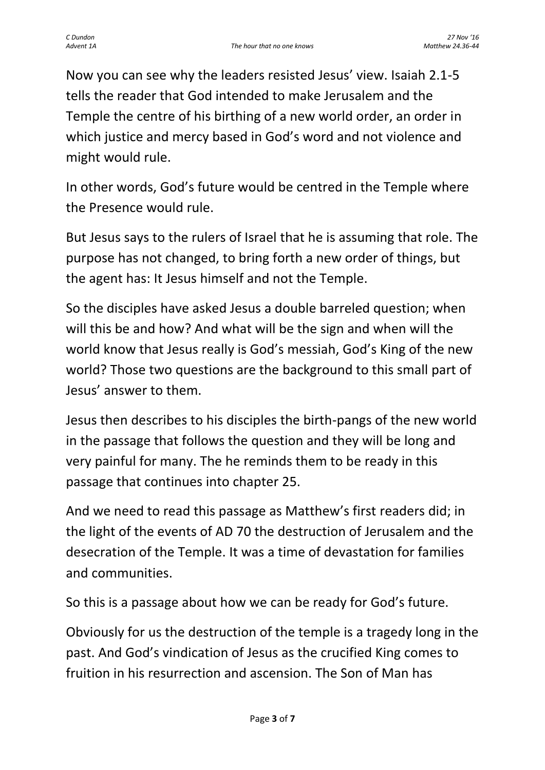Now you can see why the leaders resisted Jesus' view. Isaiah 2.1-5 tells the reader that God intended to make Jerusalem and the Temple the centre of his birthing of a new world order, an order in which justice and mercy based in God's word and not violence and might would rule.

In other words, God's future would be centred in the Temple where the Presence would rule.

But Jesus says to the rulers of Israel that he is assuming that role. The purpose has not changed, to bring forth a new order of things, but the agent has: It Jesus himself and not the Temple.

So the disciples have asked Jesus a double barreled question; when will this be and how? And what will be the sign and when will the world know that Jesus really is God's messiah, God's King of the new world? Those two questions are the background to this small part of Jesus' answer to them.

Jesus then describes to his disciples the birth-pangs of the new world in the passage that follows the question and they will be long and very painful for many. The he reminds them to be ready in this passage that continues into chapter 25.

And we need to read this passage as Matthew's first readers did; in the light of the events of AD 70 the destruction of Jerusalem and the desecration of the Temple. It was a time of devastation for families and communities.

So this is a passage about how we can be ready for God's future.

Obviously for us the destruction of the temple is a tragedy long in the past. And God's vindication of Jesus as the crucified King comes to fruition in his resurrection and ascension. The Son of Man has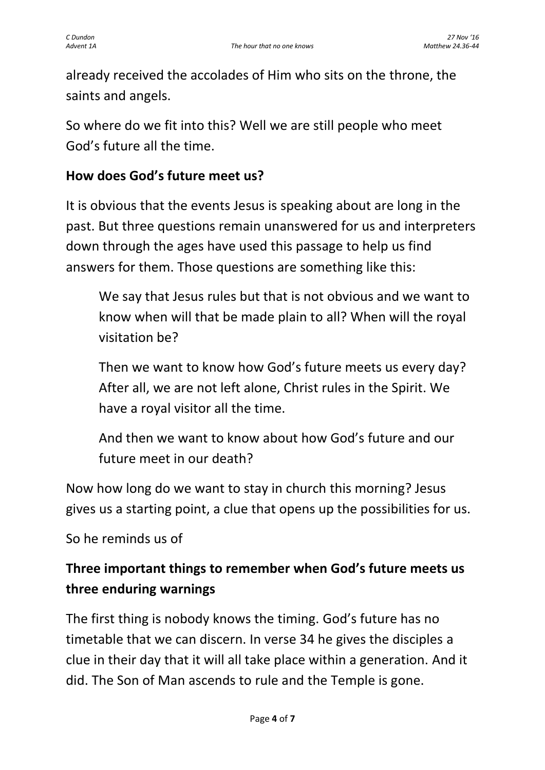already received the accolades of Him who sits on the throne, the saints and angels.

So where do we fit into this? Well we are still people who meet God's future all the time.

## **How does God's future meet us?**

It is obvious that the events Jesus is speaking about are long in the past. But three questions remain unanswered for us and interpreters down through the ages have used this passage to help us find answers for them. Those questions are something like this:

We say that Jesus rules but that is not obvious and we want to know when will that be made plain to all? When will the royal visitation be?

Then we want to know how God's future meets us every day? After all, we are not left alone, Christ rules in the Spirit. We have a royal visitor all the time.

And then we want to know about how God's future and our future meet in our death?

Now how long do we want to stay in church this morning? Jesus gives us a starting point, a clue that opens up the possibilities for us.

So he reminds us of

# **Three important things to remember when God's future meets us three enduring warnings**

The first thing is nobody knows the timing. God's future has no timetable that we can discern. In verse 34 he gives the disciples a clue in their day that it will all take place within a generation. And it did. The Son of Man ascends to rule and the Temple is gone.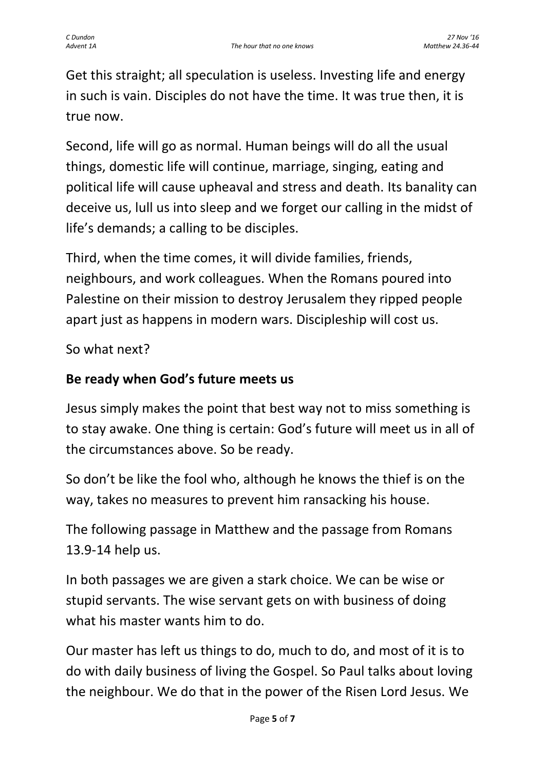Get this straight; all speculation is useless. Investing life and energy in such is vain. Disciples do not have the time. It was true then, it is true now.

Second, life will go as normal. Human beings will do all the usual things, domestic life will continue, marriage, singing, eating and political life will cause upheaval and stress and death. Its banality can deceive us, lull us into sleep and we forget our calling in the midst of life's demands; a calling to be disciples.

Third, when the time comes, it will divide families, friends, neighbours, and work colleagues. When the Romans poured into Palestine on their mission to destroy Jerusalem they ripped people apart just as happens in modern wars. Discipleship will cost us.

So what next?

### **Be ready when God's future meets us**

Jesus simply makes the point that best way not to miss something is to stay awake. One thing is certain: God's future will meet us in all of the circumstances above. So be ready.

So don't be like the fool who, although he knows the thief is on the way, takes no measures to prevent him ransacking his house.

The following passage in Matthew and the passage from Romans 13.9-14 help us.

In both passages we are given a stark choice. We can be wise or stupid servants. The wise servant gets on with business of doing what his master wants him to do.

Our master has left us things to do, much to do, and most of it is to do with daily business of living the Gospel. So Paul talks about loving the neighbour. We do that in the power of the Risen Lord Jesus. We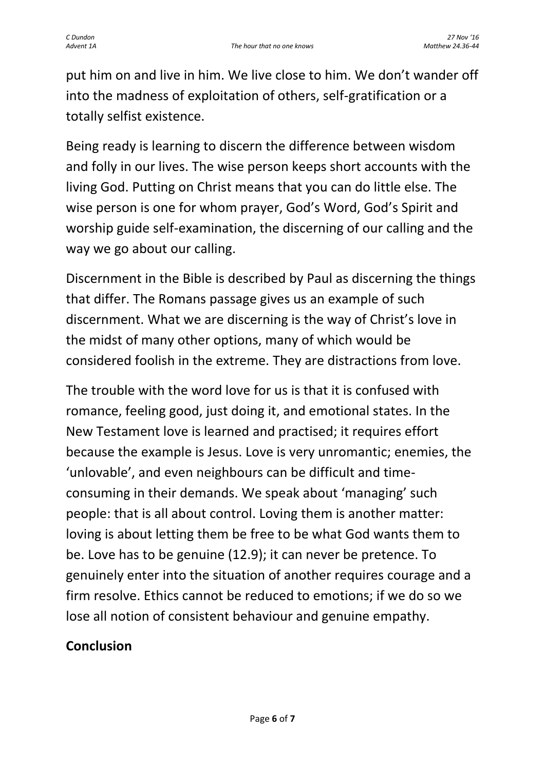put him on and live in him. We live close to him. We don't wander off into the madness of exploitation of others, self-gratification or a totally selfist existence.

Being ready is learning to discern the difference between wisdom and folly in our lives. The wise person keeps short accounts with the living God. Putting on Christ means that you can do little else. The wise person is one for whom prayer, God's Word, God's Spirit and worship guide self-examination, the discerning of our calling and the way we go about our calling.

Discernment in the Bible is described by Paul as discerning the things that differ. The Romans passage gives us an example of such discernment. What we are discerning is the way of Christ's love in the midst of many other options, many of which would be considered foolish in the extreme. They are distractions from love.

The trouble with the word love for us is that it is confused with romance, feeling good, just doing it, and emotional states. In the New Testament love is learned and practised; it requires effort because the example is Jesus. Love is very unromantic; enemies, the 'unlovable', and even neighbours can be difficult and timeconsuming in their demands. We speak about 'managing' such people: that is all about control. Loving them is another matter: loving is about letting them be free to be what God wants them to be. Love has to be genuine (12.9); it can never be pretence. To genuinely enter into the situation of another requires courage and a firm resolve. Ethics cannot be reduced to emotions; if we do so we lose all notion of consistent behaviour and genuine empathy.

### **Conclusion**